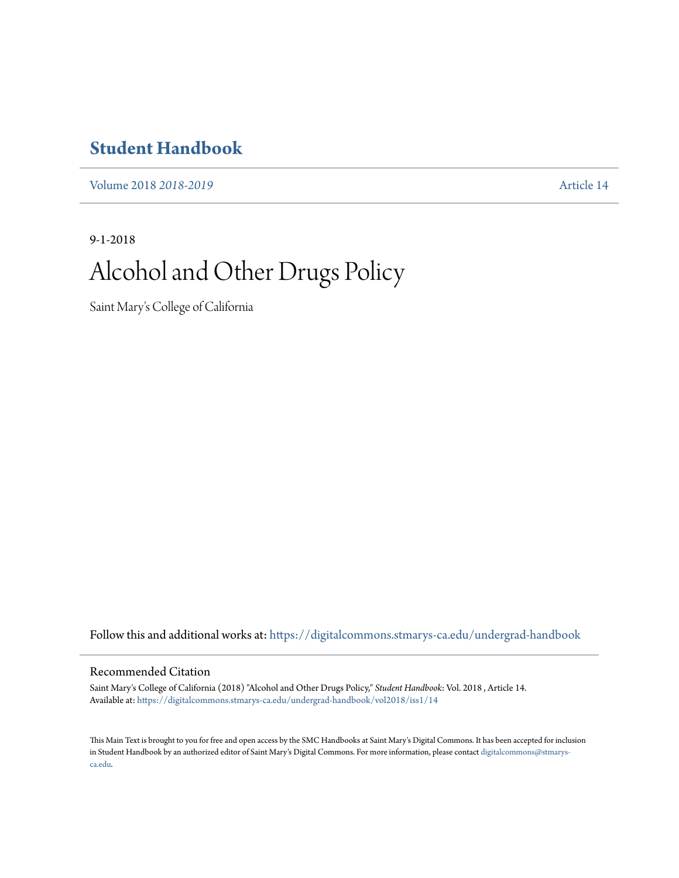## **[Student Handbook](https://digitalcommons.stmarys-ca.edu/undergrad-handbook?utm_source=digitalcommons.stmarys-ca.edu%2Fundergrad-handbook%2Fvol2018%2Fiss1%2F14&utm_medium=PDF&utm_campaign=PDFCoverPages)**

[Volume 2018](https://digitalcommons.stmarys-ca.edu/undergrad-handbook/vol2018?utm_source=digitalcommons.stmarys-ca.edu%2Fundergrad-handbook%2Fvol2018%2Fiss1%2F14&utm_medium=PDF&utm_campaign=PDFCoverPages) *2018-2019* [Article 14](https://digitalcommons.stmarys-ca.edu/undergrad-handbook/vol2018/iss1/14?utm_source=digitalcommons.stmarys-ca.edu%2Fundergrad-handbook%2Fvol2018%2Fiss1%2F14&utm_medium=PDF&utm_campaign=PDFCoverPages)

9-1-2018

# Alcohol and Other Drugs Policy

Saint Mary's College of California

Follow this and additional works at: [https://digitalcommons.stmarys-ca.edu/undergrad-handbook](https://digitalcommons.stmarys-ca.edu/undergrad-handbook?utm_source=digitalcommons.stmarys-ca.edu%2Fundergrad-handbook%2Fvol2018%2Fiss1%2F14&utm_medium=PDF&utm_campaign=PDFCoverPages)

#### Recommended Citation

Saint Mary's College of California (2018) "Alcohol and Other Drugs Policy," *Student Handbook*: Vol. 2018 , Article 14. Available at: [https://digitalcommons.stmarys-ca.edu/undergrad-handbook/vol2018/iss1/14](https://digitalcommons.stmarys-ca.edu/undergrad-handbook/vol2018/iss1/14?utm_source=digitalcommons.stmarys-ca.edu%2Fundergrad-handbook%2Fvol2018%2Fiss1%2F14&utm_medium=PDF&utm_campaign=PDFCoverPages)

This Main Text is brought to you for free and open access by the SMC Handbooks at Saint Mary's Digital Commons. It has been accepted for inclusion in Student Handbook by an authorized editor of Saint Mary's Digital Commons. For more information, please contact [digitalcommons@stmarys](mailto:digitalcommons@stmarys-ca.edu)[ca.edu](mailto:digitalcommons@stmarys-ca.edu).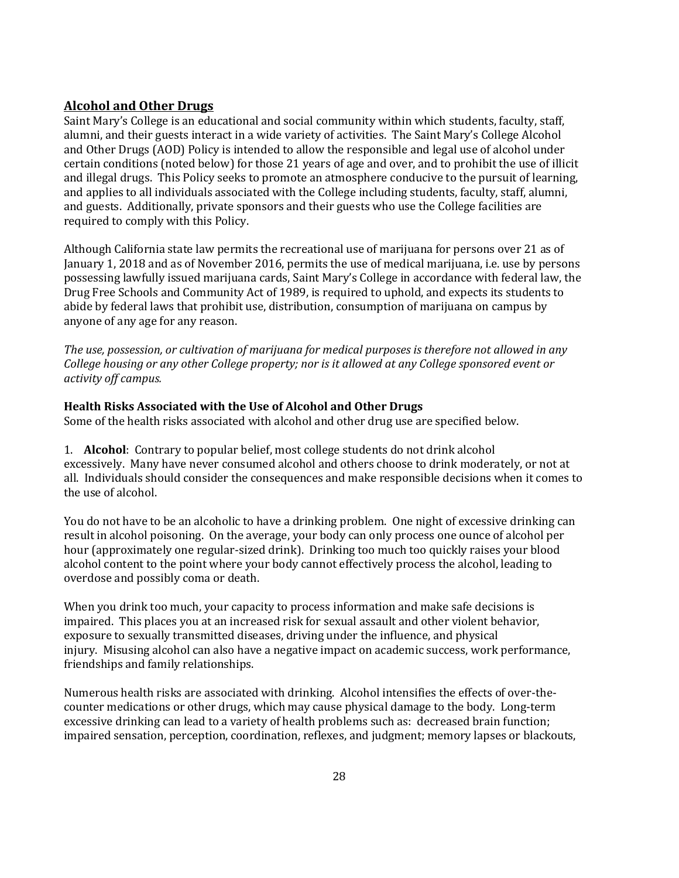## **Alcohol and Other Drugs**

Saint Mary's College is an educational and social community within which students, faculty, staff, alumni, and their guests interact in a wide variety of activities. The Saint Mary's College Alcohol and Other Drugs (AOD) Policy is intended to allow the responsible and legal use of alcohol under certain conditions (noted below) for those 21 years of age and over, and to prohibit the use of illicit and illegal drugs. This Policy seeks to promote an atmosphere conducive to the pursuit of learning, and applies to all individuals associated with the College including students, faculty, staff, alumni, and guests. Additionally, private sponsors and their guests who use the College facilities are required to comply with this Policy.

Although California state law permits the recreational use of marijuana for persons over 21 as of January 1, 2018 and as of November 2016, permits the use of medical marijuana, i.e. use by persons possessing lawfully issued marijuana cards, Saint Mary's College in accordance with federal law, the Drug Free Schools and Community Act of 1989, is required to uphold, and expects its students to abide by federal laws that prohibit use, distribution, consumption of marijuana on campus by anyone of any age for any reason.

*The use, possession, or cultivation of marijuana for medical purposes is therefore not allowed in any College housing or any other College property; nor is it allowed at any College sponsored event or activity off campus.* 

#### **Health Risks Associated with the Use of Alcohol and Other Drugs**

Some of the health risks associated with alcohol and other drug use are specified below.

1. **Alcohol**: Contrary to popular belief, most college students do not drink alcohol excessively. Many have never consumed alcohol and others choose to drink moderately, or not at all. Individuals should consider the consequences and make responsible decisions when it comes to the use of alcohol.

You do not have to be an alcoholic to have a drinking problem. One night of excessive drinking can result in alcohol poisoning. On the average, your body can only process one ounce of alcohol per hour (approximately one regular-sized drink). Drinking too much too quickly raises your blood alcohol content to the point where your body cannot effectively process the alcohol, leading to overdose and possibly coma or death.

When you drink too much, your capacity to process information and make safe decisions is impaired. This places you at an increased risk for sexual assault and other violent behavior, exposure to sexually transmitted diseases, driving under the influence, and physical injury. Misusing alcohol can also have a negative impact on academic success, work performance, friendships and family relationships.

Numerous health risks are associated with drinking. Alcohol intensifies the effects of over-thecounter medications or other drugs, which may cause physical damage to the body. Long-term excessive drinking can lead to a variety of health problems such as: decreased brain function; impaired sensation, perception, coordination, reflexes, and judgment; memory lapses or blackouts,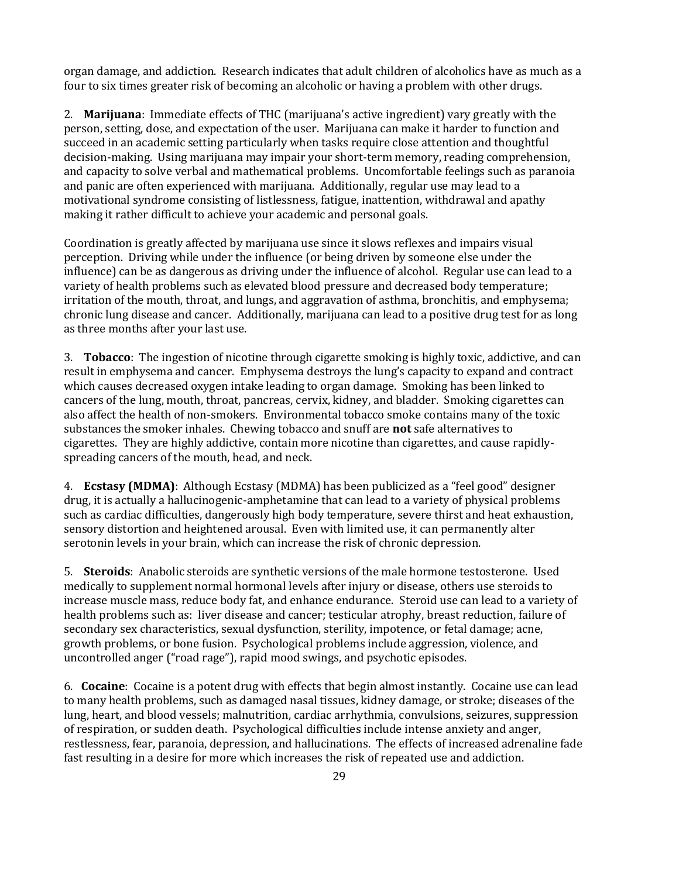organ damage, and addiction. Research indicates that adult children of alcoholics have as much as a four to six times greater risk of becoming an alcoholic or having a problem with other drugs.

2. **Marijuana**: Immediate effects of THC (marijuana's active ingredient) vary greatly with the person, setting, dose, and expectation of the user. Marijuana can make it harder to function and succeed in an academic setting particularly when tasks require close attention and thoughtful decision-making. Using marijuana may impair your short-term memory, reading comprehension, and capacity to solve verbal and mathematical problems. Uncomfortable feelings such as paranoia and panic are often experienced with marijuana. Additionally, regular use may lead to a motivational syndrome consisting of listlessness, fatigue, inattention, withdrawal and apathy making it rather difficult to achieve your academic and personal goals.

Coordination is greatly affected by marijuana use since it slows reflexes and impairs visual perception. Driving while under the influence (or being driven by someone else under the influence) can be as dangerous as driving under the influence of alcohol. Regular use can lead to a variety of health problems such as elevated blood pressure and decreased body temperature; irritation of the mouth, throat, and lungs, and aggravation of asthma, bronchitis, and emphysema; chronic lung disease and cancer. Additionally, marijuana can lead to a positive drug test for as long as three months after your last use.

3. **Tobacco**: The ingestion of nicotine through cigarette smoking is highly toxic, addictive, and can result in emphysema and cancer. Emphysema destroys the lung's capacity to expand and contract which causes decreased oxygen intake leading to organ damage. Smoking has been linked to cancers of the lung, mouth, throat, pancreas, cervix, kidney, and bladder. Smoking cigarettes can also affect the health of non-smokers. Environmental tobacco smoke contains many of the toxic substances the smoker inhales. Chewing tobacco and snuff are **not** safe alternatives to cigarettes. They are highly addictive, contain more nicotine than cigarettes, and cause rapidlyspreading cancers of the mouth, head, and neck.

4. **Ecstasy (MDMA)**: Although Ecstasy (MDMA) has been publicized as a "feel good" designer drug, it is actually a hallucinogenic-amphetamine that can lead to a variety of physical problems such as cardiac difficulties, dangerously high body temperature, severe thirst and heat exhaustion, sensory distortion and heightened arousal. Even with limited use, it can permanently alter serotonin levels in your brain, which can increase the risk of chronic depression.

5. **Steroids**: Anabolic steroids are synthetic versions of the male hormone testosterone. Used medically to supplement normal hormonal levels after injury or disease, others use steroids to increase muscle mass, reduce body fat, and enhance endurance. Steroid use can lead to a variety of health problems such as: liver disease and cancer; testicular atrophy, breast reduction, failure of secondary sex characteristics, sexual dysfunction, sterility, impotence, or fetal damage; acne, growth problems, or bone fusion. Psychological problems include aggression, violence, and uncontrolled anger ("road rage"), rapid mood swings, and psychotic episodes.

6. **Cocaine**: Cocaine is a potent drug with effects that begin almost instantly. Cocaine use can lead to many health problems, such as damaged nasal tissues, kidney damage, or stroke; diseases of the lung, heart, and blood vessels; malnutrition, cardiac arrhythmia, convulsions, seizures, suppression of respiration, or sudden death. Psychological difficulties include intense anxiety and anger, restlessness, fear, paranoia, depression, and hallucinations. The effects of increased adrenaline fade fast resulting in a desire for more which increases the risk of repeated use and addiction.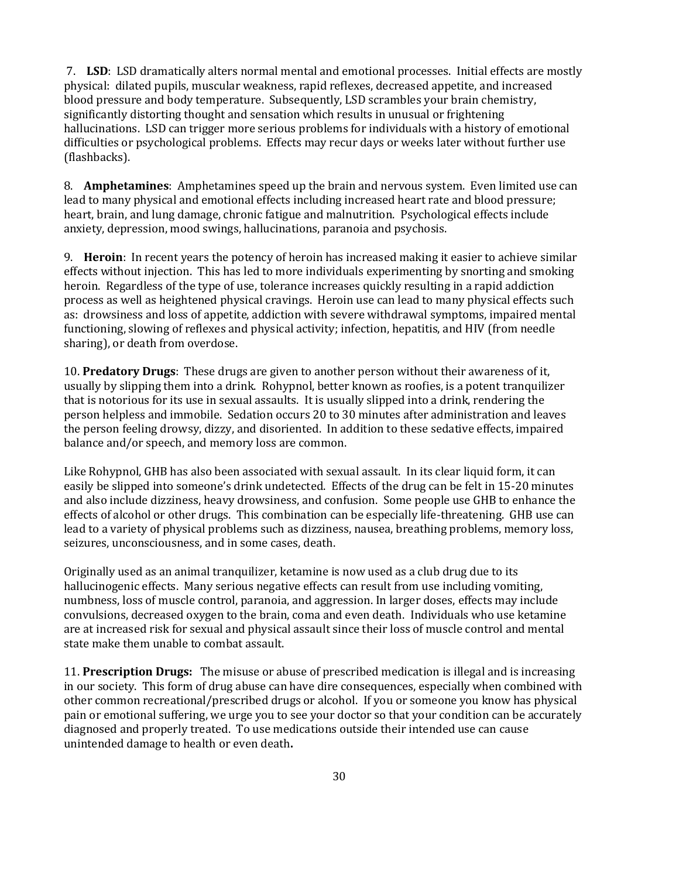7. **LSD**: LSD dramatically alters normal mental and emotional processes. Initial effects are mostly physical: dilated pupils, muscular weakness, rapid reflexes, decreased appetite, and increased blood pressure and body temperature. Subsequently, LSD scrambles your brain chemistry, significantly distorting thought and sensation which results in unusual or frightening hallucinations. LSD can trigger more serious problems for individuals with a history of emotional difficulties or psychological problems. Effects may recur days or weeks later without further use (flashbacks).

8. **Amphetamines**: Amphetamines speed up the brain and nervous system. Even limited use can lead to many physical and emotional effects including increased heart rate and blood pressure; heart, brain, and lung damage, chronic fatigue and malnutrition. Psychological effects include anxiety, depression, mood swings, hallucinations, paranoia and psychosis.

9. **Heroin**: In recent years the potency of heroin has increased making it easier to achieve similar effects without injection. This has led to more individuals experimenting by snorting and smoking heroin. Regardless of the type of use, tolerance increases quickly resulting in a rapid addiction process as well as heightened physical cravings. Heroin use can lead to many physical effects such as: drowsiness and loss of appetite, addiction with severe withdrawal symptoms, impaired mental functioning, slowing of reflexes and physical activity; infection, hepatitis, and HIV (from needle sharing), or death from overdose.

10. **Predatory Drugs**: These drugs are given to another person without their awareness of it, usually by slipping them into a drink. Rohypnol, better known as roofies, is a potent tranquilizer that is notorious for its use in sexual assaults. It is usually slipped into a drink, rendering the person helpless and immobile. Sedation occurs 20 to 30 minutes after administration and leaves the person feeling drowsy, dizzy, and disoriented. In addition to these sedative effects, impaired balance and/or speech, and memory loss are common.

Like Rohypnol, GHB has also been associated with sexual assault. In its clear liquid form, it can easily be slipped into someone's drink undetected. Effects of the drug can be felt in 15-20 minutes and also include dizziness, heavy drowsiness, and confusion. Some people use GHB to enhance the effects of alcohol or other drugs. This combination can be especially life-threatening. GHB use can lead to a variety of physical problems such as dizziness, nausea, breathing problems, memory loss, seizures, unconsciousness, and in some cases, death.

Originally used as an animal tranquilizer, ketamine is now used as a club drug due to its hallucinogenic effects. Many serious negative effects can result from use including vomiting, numbness, loss of muscle control, paranoia, and aggression. In larger doses, effects may include convulsions, decreased oxygen to the brain, coma and even death. Individuals who use ketamine are at increased risk for sexual and physical assault since their loss of muscle control and mental state make them unable to combat assault.

11. **Prescription Drugs:** The misuse or abuse of prescribed medication is illegal and is increasing in our society. This form of drug abuse can have dire consequences, especially when combined with other common recreational/prescribed drugs or alcohol. If you or someone you know has physical pain or emotional suffering, we urge you to see your doctor so that your condition can be accurately diagnosed and properly treated. To use medications outside their intended use can cause unintended damage to health or even death**.**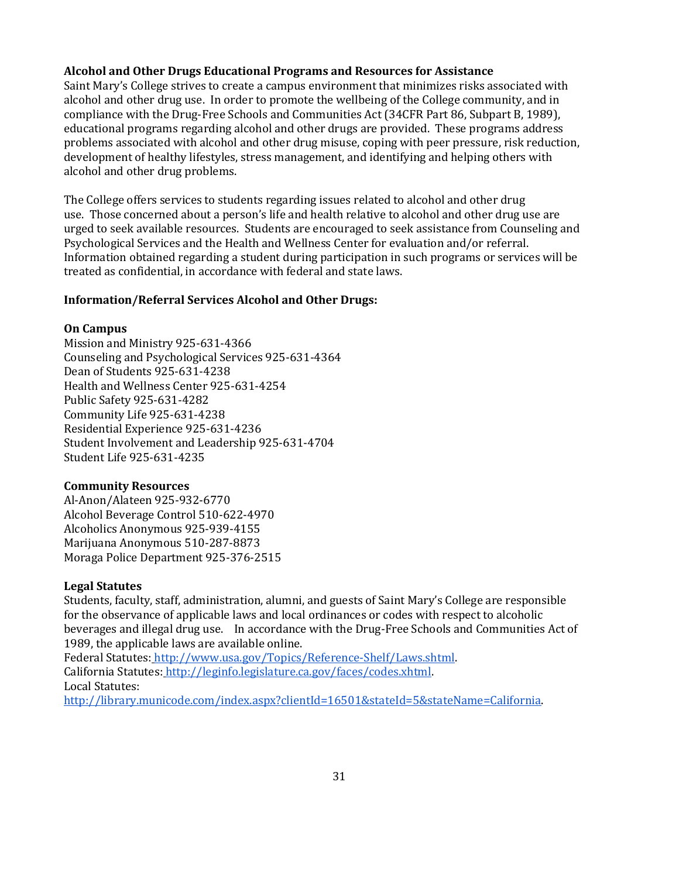#### **Alcohol and Other Drugs Educational Programs and Resources for Assistance**

Saint Mary's College strives to create a campus environment that minimizes risks associated with alcohol and other drug use. In order to promote the wellbeing of the College community, and in compliance with the Drug-Free Schools and Communities Act (34CFR Part 86, Subpart B, 1989), educational programs regarding alcohol and other drugs are provided. These programs address problems associated with alcohol and other drug misuse, coping with peer pressure, risk reduction, development of healthy lifestyles, stress management, and identifying and helping others with alcohol and other drug problems.

The College offers services to students regarding issues related to alcohol and other drug use. Those concerned about a person's life and health relative to alcohol and other drug use are urged to seek available resources. Students are encouraged to seek assistance from Counseling and Psychological Services and the Health and Wellness Center for evaluation and/or referral. Information obtained regarding a student during participation in such programs or services will be treated as confidential, in accordance with federal and state laws.

#### **Information/Referral Services Alcohol and Other Drugs:**

#### **On Campus**

Mission and Ministry 925-631-4366 Counseling and Psychological Services 925-631-4364 Dean of Students 925-631-4238 Health and Wellness Center 925-631-4254 Public Safety 925-631-4282 Community Life 925-631-4238 Residential Experience 925-631-4236 Student Involvement and Leadership 925-631-4704 Student Life 925-631-4235

#### **Community Resources**

Al-Anon/Alateen 925-932-6770 Alcohol Beverage Control 510-622-4970 Alcoholics Anonymous 925-939-4155 Marijuana Anonymous 510-287-8873 Moraga Police Department 925-376-2515

#### **Legal Statutes**

Students, faculty, staff, administration, alumni, and guests of Saint Mary's College are responsible for the observance of applicable laws and local ordinances or codes with respect to alcoholic beverages and illegal drug use. In accordance with the Drug-Free Schools and Communities Act of 1989, the applicable laws are available online.

Federal Statutes: [http://www.usa.gov/Topics/Reference-Shelf/Laws.shtml.](http://www.usa.gov/Topics/Reference-Shelf/Laws.shtml)  California Statutes: [http://leginfo.legislature.ca.gov/faces/codes.xhtml.](http://leginfo.legislature.ca.gov/faces/codes.xhtml) Local Statutes: [http://library.municode.com/index.aspx?clientId=16501&stateId=5&stateName=California.](http://library.municode.com/index.aspx?clientId=16501&stateId=5&stateName=California)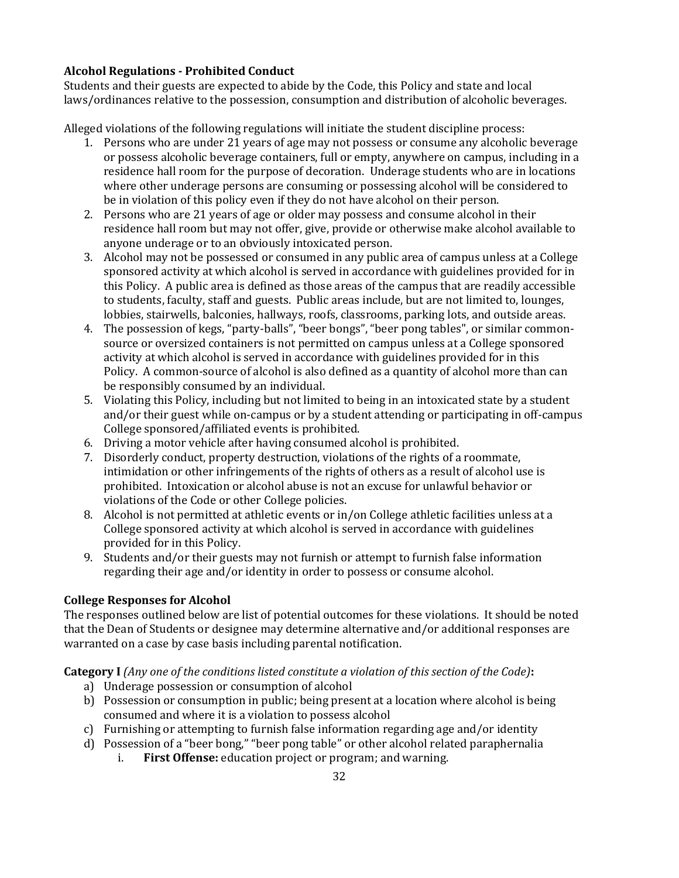## **Alcohol Regulations - Prohibited Conduct**

Students and their guests are expected to abide by the Code, this Policy and state and local laws/ordinances relative to the possession, consumption and distribution of alcoholic beverages.

Alleged violations of the following regulations will initiate the student discipline process:

- 1. Persons who are under 21 years of age may not possess or consume any alcoholic beverage or possess alcoholic beverage containers, full or empty, anywhere on campus, including in a residence hall room for the purpose of decoration. Underage students who are in locations where other underage persons are consuming or possessing alcohol will be considered to be in violation of this policy even if they do not have alcohol on their person.
- 2. Persons who are 21 years of age or older may possess and consume alcohol in their residence hall room but may not offer, give, provide or otherwise make alcohol available to anyone underage or to an obviously intoxicated person.
- 3. Alcohol may not be possessed or consumed in any public area of campus unless at a College sponsored activity at which alcohol is served in accordance with guidelines provided for in this Policy. A public area is defined as those areas of the campus that are readily accessible to students, faculty, staff and guests. Public areas include, but are not limited to, lounges, lobbies, stairwells, balconies, hallways, roofs, classrooms, parking lots, and outside areas.
- 4. The possession of kegs, "party-balls", "beer bongs", "beer pong tables", or similar commonsource or oversized containers is not permitted on campus unless at a College sponsored activity at which alcohol is served in accordance with guidelines provided for in this Policy. A common-source of alcohol is also defined as a quantity of alcohol more than can be responsibly consumed by an individual.
- 5. Violating this Policy, including but not limited to being in an intoxicated state by a student and/or their guest while on-campus or by a student attending or participating in off-campus College sponsored/affiliated events is prohibited.
- 6. Driving a motor vehicle after having consumed alcohol is prohibited.
- 7. Disorderly conduct, property destruction, violations of the rights of a roommate, intimidation or other infringements of the rights of others as a result of alcohol use is prohibited. Intoxication or alcohol abuse is not an excuse for unlawful behavior or violations of the Code or other College policies.
- 8. Alcohol is not permitted at athletic events or in/on College athletic facilities unless at a College sponsored activity at which alcohol is served in accordance with guidelines provided for in this Policy.
- 9. Students and/or their guests may not furnish or attempt to furnish false information regarding their age and/or identity in order to possess or consume alcohol.

## **College Responses for Alcohol**

The responses outlined below are list of potential outcomes for these violations. It should be noted that the Dean of Students or designee may determine alternative and/or additional responses are warranted on a case by case basis including parental notification.

## **Category I** *(Any one of the conditions listed constitute a violation of this section of the Code)***:**

- a) Underage possession or consumption of alcohol
- b) Possession or consumption in public; being present at a location where alcohol is being consumed and where it is a violation to possess alcohol
- c) Furnishing or attempting to furnish false information regarding age and/or identity
- d) Possession of a "beer bong," "beer pong table" or other alcohol related paraphernalia
	- i. **First Offense:** education project or program; and warning.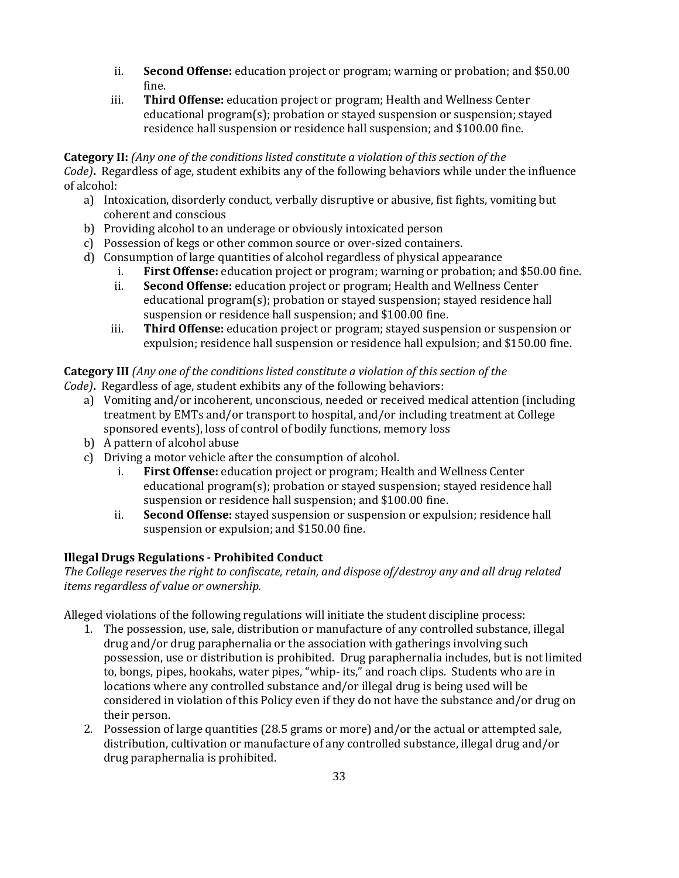- ii. **Second Offense:** education project or program; warning or probation; and \$50.00 fine.
- iii. **Third Offense:** education project or program; Health and Wellness Center educational program(s); probation or stayed suspension or suspension; stayed residence hall suspension or residence hall suspension; and \$100.00 fine.

#### **Category II:** *(Any one of the conditions listed constitute a violation of this section of the Code)***.** Regardless of age, student exhibits any of the following behaviors while under the influence of alcohol:

- a) Intoxication, disorderly conduct, verbally disruptive or abusive, fist fights, vomiting but coherent and conscious
- b) Providing alcohol to an underage or obviously intoxicated person
- c) Possession of kegs or other common source or over-sized containers.
- d) Consumption of large quantities of alcohol regardless of physical appearance
	- i. **First Offense:** education project or program; warning or probation; and \$50.00 fine.
	- ii. **Second Offense:** education project or program; Health and Wellness Center educational program(s); probation or stayed suspension; stayed residence hall suspension or residence hall suspension; and \$100.00 fine.
	- iii. **Third Offense:** education project or program; stayed suspension or suspension or expulsion; residence hall suspension or residence hall expulsion; and \$150.00 fine.

#### **Category III** *(Any one of the conditions listed constitute a violation of this section of the Code)***.** Regardless of age, student exhibits any of the following behaviors:

- a) Vomiting and/or incoherent, unconscious, needed or received medical attention (including treatment by EMTs and/or transport to hospital, and/or including treatment at College sponsored events), loss of control of bodily functions, memory loss
- b) A pattern of alcohol abuse
- c) Driving a motor vehicle after the consumption of alcohol.
	- i. **First Offense:** education project or program; Health and Wellness Center educational program(s); probation or stayed suspension; stayed residence hall suspension or residence hall suspension; and \$100.00 fine.
	- ii. **Second Offense:** stayed suspension or suspension or expulsion; residence hall suspension or expulsion; and \$150.00 fine.

## **Illegal Drugs Regulations - Prohibited Conduct**

*The College reserves the right to confiscate, retain, and dispose of/destroy any and all drug related items regardless of value or ownership.*

Alleged violations of the following regulations will initiate the student discipline process:

- 1. The possession, use, sale, distribution or manufacture of any controlled substance, illegal drug and/or drug paraphernalia or the association with gatherings involving such possession, use or distribution is prohibited. Drug paraphernalia includes, but is not limited to, bongs, pipes, hookahs, water pipes, "whip- its," and roach clips. Students who are in locations where any controlled substance and/or illegal drug is being used will be considered in violation of this Policy even if they do not have the substance and/or drug on their person.
- 2. Possession of large quantities (28.5 grams or more) and/or the actual or attempted sale, distribution, cultivation or manufacture of any controlled substance, illegal drug and/or drug paraphernalia is prohibited.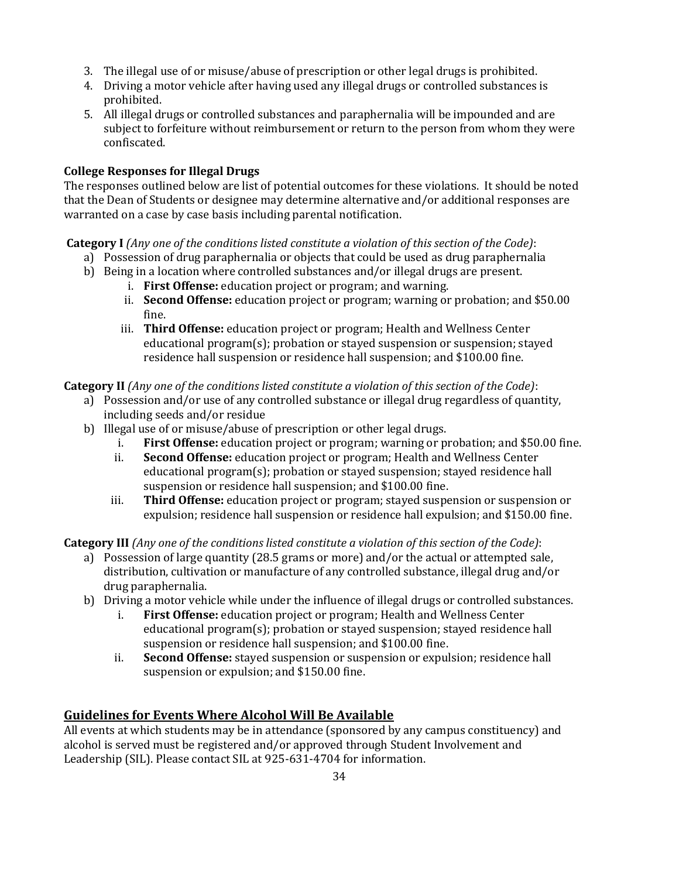- 3. The illegal use of or misuse/abuse of prescription or other legal drugs is prohibited.
- 4. Driving a motor vehicle after having used any illegal drugs or controlled substances is prohibited.
- 5. All illegal drugs or controlled substances and paraphernalia will be impounded and are subject to forfeiture without reimbursement or return to the person from whom they were confiscated.

## **College Responses for Illegal Drugs**

The responses outlined below are list of potential outcomes for these violations. It should be noted that the Dean of Students or designee may determine alternative and/or additional responses are warranted on a case by case basis including parental notification.

## **Category I** *(Any one of the conditions listed constitute a violation of this section of the Code)*:

- a) Possession of drug paraphernalia or objects that could be used as drug paraphernalia
- b) Being in a location where controlled substances and/or illegal drugs are present.
	- i. **First Offense:** education project or program; and warning.
	- ii. **Second Offense:** education project or program; warning or probation; and \$50.00 fine.
	- iii. **Third Offense:** education project or program; Health and Wellness Center educational program(s); probation or stayed suspension or suspension; stayed residence hall suspension or residence hall suspension; and \$100.00 fine.

## **Category II** *(Any one of the conditions listed constitute a violation of this section of the Code)*:

- a) Possession and/or use of any controlled substance or illegal drug regardless of quantity, including seeds and/or residue
- b) Illegal use of or misuse/abuse of prescription or other legal drugs.
	- i. **First Offense:** education project or program; warning or probation; and \$50.00 fine.
	- ii. **Second Offense:** education project or program; Health and Wellness Center educational program(s); probation or stayed suspension; stayed residence hall suspension or residence hall suspension; and \$100.00 fine.
	- iii. **Third Offense:** education project or program; stayed suspension or suspension or expulsion; residence hall suspension or residence hall expulsion; and \$150.00 fine.

**Category III** *(Any one of the conditions listed constitute a violation of this section of the Code)*:

- a) Possession of large quantity (28.5 grams or more) and/or the actual or attempted sale, distribution, cultivation or manufacture of any controlled substance, illegal drug and/or drug paraphernalia.
- b) Driving a motor vehicle while under the influence of illegal drugs or controlled substances.
	- i. **First Offense:** education project or program; Health and Wellness Center educational program(s); probation or stayed suspension; stayed residence hall suspension or residence hall suspension; and \$100.00 fine.
	- ii. **Second Offense:** stayed suspension or suspension or expulsion; residence hall suspension or expulsion; and \$150.00 fine.

## **Guidelines for Events Where Alcohol Will Be Available**

All events at which students may be in attendance (sponsored by any campus constituency) and alcohol is served must be registered and/or approved through Student Involvement and Leadership (SIL). Please contact SIL at 925-631-4704 for information.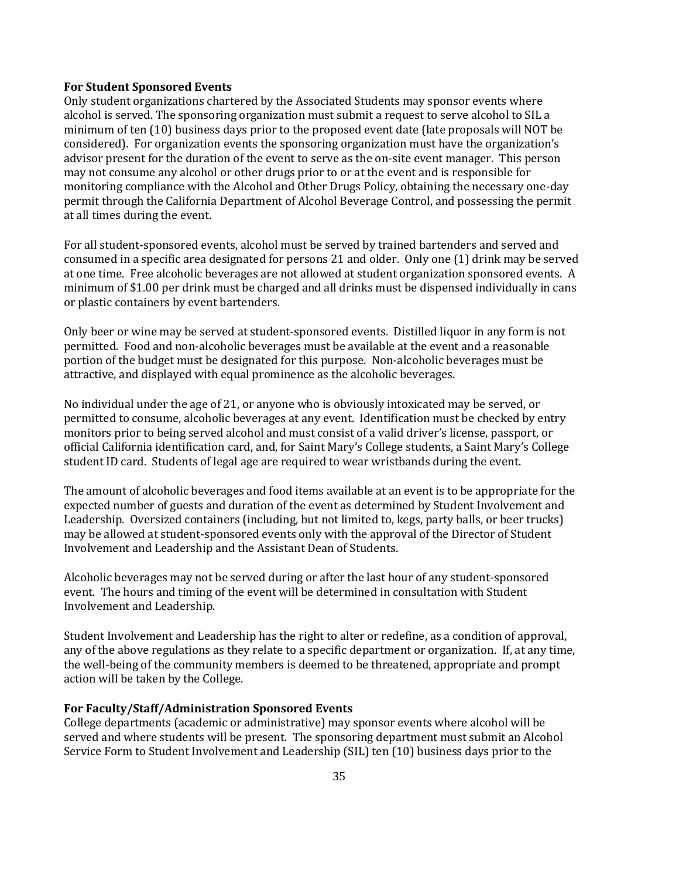#### **For Student Sponsored Events**

Only student organizations chartered by the Associated Students may sponsor events where alcohol is served. The sponsoring organization must submit a request to serve alcohol to SIL a minimum of ten (10) business days prior to the proposed event date (late proposals will NOT be considered). For organization events the sponsoring organization must have the organization's advisor present for the duration of the event to serve as the on-site event manager. This person may not consume any alcohol or other drugs prior to or at the event and is responsible for monitoring compliance with the Alcohol and Other Drugs Policy, obtaining the necessary one-day permit through the California Department of Alcohol Beverage Control, and possessing the permit at all times during the event.

For all student-sponsored events, alcohol must be served by trained bartenders and served and consumed in a specific area designated for persons 21 and older. Only one (1) drink may be served at one time. Free alcoholic beverages are not allowed at student organization sponsored events. A minimum of \$1.00 per drink must be charged and all drinks must be dispensed individually in cans or plastic containers by event bartenders.

Only beer or wine may be served at student-sponsored events. Distilled liquor in any form is not permitted. Food and non-alcoholic beverages must be available at the event and a reasonable portion of the budget must be designated for this purpose. Non-alcoholic beverages must be attractive, and displayed with equal prominence as the alcoholic beverages.

No individual under the age of 21, or anyone who is obviously intoxicated may be served, or permitted to consume, alcoholic beverages at any event. Identification must be checked by entry monitors prior to being served alcohol and must consist of a valid driver's license, passport, or official California identification card, and, for Saint Mary's College students, a Saint Mary's College student ID card. Students of legal age are required to wear wristbands during the event.

The amount of alcoholic beverages and food items available at an event is to be appropriate for the expected number of guests and duration of the event as determined by Student Involvement and Leadership. Oversized containers (including, but not limited to, kegs, party balls, or beer trucks) may be allowed at student-sponsored events only with the approval of the Director of Student Involvement and Leadership and the Assistant Dean of Students.

Alcoholic beverages may not be served during or after the last hour of any student-sponsored event. The hours and timing of the event will be determined in consultation with Student Involvement and Leadership.

Student Involvement and Leadership has the right to alter or redefine, as a condition of approval, any of the above regulations as they relate to a specific department or organization. If, at any time, the well-being of the community members is deemed to be threatened, appropriate and prompt action will be taken by the College.

#### **For Faculty/Staff/Administration Sponsored Events**

College departments (academic or administrative) may sponsor events where alcohol will be served and where students will be present. The sponsoring department must submit an Alcohol Service Form to Student Involvement and Leadership (SIL) ten (10) business days prior to the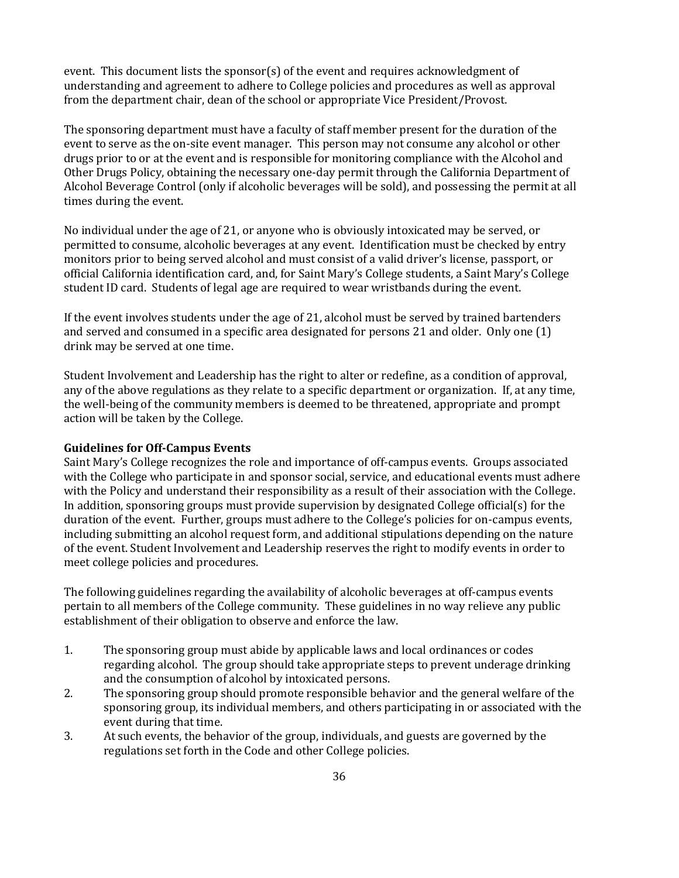event. This document lists the sponsor(s) of the event and requires acknowledgment of understanding and agreement to adhere to College policies and procedures as well as approval from the department chair, dean of the school or appropriate Vice President/Provost.

The sponsoring department must have a faculty of staff member present for the duration of the event to serve as the on-site event manager. This person may not consume any alcohol or other drugs prior to or at the event and is responsible for monitoring compliance with the Alcohol and Other Drugs Policy, obtaining the necessary one-day permit through the California Department of Alcohol Beverage Control (only if alcoholic beverages will be sold), and possessing the permit at all times during the event.

No individual under the age of 21, or anyone who is obviously intoxicated may be served, or permitted to consume, alcoholic beverages at any event. Identification must be checked by entry monitors prior to being served alcohol and must consist of a valid driver's license, passport, or official California identification card, and, for Saint Mary's College students, a Saint Mary's College student ID card. Students of legal age are required to wear wristbands during the event.

If the event involves students under the age of 21, alcohol must be served by trained bartenders and served and consumed in a specific area designated for persons 21 and older. Only one (1) drink may be served at one time.

Student Involvement and Leadership has the right to alter or redefine, as a condition of approval, any of the above regulations as they relate to a specific department or organization. If, at any time, the well-being of the community members is deemed to be threatened, appropriate and prompt action will be taken by the College.

#### **Guidelines for Off-Campus Events**

Saint Mary's College recognizes the role and importance of off-campus events. Groups associated with the College who participate in and sponsor social, service, and educational events must adhere with the Policy and understand their responsibility as a result of their association with the College. In addition, sponsoring groups must provide supervision by designated College official(s) for the duration of the event. Further, groups must adhere to the College's policies for on-campus events, including submitting an alcohol request form, and additional stipulations depending on the nature of the event. Student Involvement and Leadership reserves the right to modify events in order to meet college policies and procedures.

The following guidelines regarding the availability of alcoholic beverages at off-campus events pertain to all members of the College community. These guidelines in no way relieve any public establishment of their obligation to observe and enforce the law.

- 1. The sponsoring group must abide by applicable laws and local ordinances or codes regarding alcohol. The group should take appropriate steps to prevent underage drinking and the consumption of alcohol by intoxicated persons.
- 2. The sponsoring group should promote responsible behavior and the general welfare of the sponsoring group, its individual members, and others participating in or associated with the event during that time.
- 3. At such events, the behavior of the group, individuals, and guests are governed by the regulations set forth in the Code and other College policies.